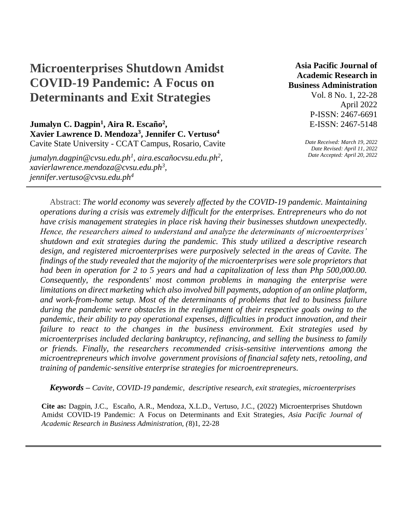# **Microenterprises Shutdown Amidst COVID-19 Pandemic: A Focus on Determinants and Exit Strategies**

## **Jumalyn C. Dagpin<sup>1</sup> , Aira R. Escaño<sup>2</sup> , Xavier Lawrence D. Mendoza<sup>3</sup> , Jennifer C. Vertuso<sup>4</sup>** Cavite State University - CCAT Campus, Rosario, Cavite

*jumalyn.dagpin@cvsu.edu.ph<sup>1</sup> , aira.escañocvsu.edu.ph<sup>2</sup> , xavierlawrence.mendoza@cvsu.edu.ph<sup>3</sup> , jennifer.vertuso@cvsu.edu.ph<sup>4</sup>*

**Asia Pacific Journal of Academic Research in Business Administration**  Vol. 8 No. 1, 22-28 April 2022 P-ISSN: 2467-6691 E-ISSN: 2467-5148

> *Date Received: March 19, 2022 Date Revised: April 11, 2022 Date Accepted: April 20, 2022*

Abstract: *The world economy was severely affected by the COVID-19 pandemic. Maintaining operations during a crisis was extremely difficult for the enterprises. Entrepreneurs who do not have crisis management strategies in place risk having their businesses shutdown unexpectedly. Hence, the researchers aimed to understand and analyze the determinants of microenterprises' shutdown and exit strategies during the pandemic. This study utilized a descriptive research design, and registered microenterprises were purposively selected in the areas of Cavite. The findings of the study revealed that the majority of the microenterprises were sole proprietors that had been in operation for 2 to 5 years and had a capitalization of less than Php 500,000.00. Consequently, the respondents' most common problems in managing the enterprise were limitations on direct marketing which also involved bill payments, adoption of an online platform, and work-from-home setup. Most of the determinants of problems that led to business failure during the pandemic were obstacles in the realignment of their respective goals owing to the pandemic, their ability to pay operational expenses, difficulties in product innovation, and their failure to react to the changes in the business environment. Exit strategies used by microenterprises included declaring bankruptcy, refinancing, and selling the business to family or friends. Finally, the researchers recommended crisis-sensitive interventions among the microentrepreneurs which involve government provisions of financial safety nets, retooling, and training of pandemic-sensitive enterprise strategies for microentrepreneurs.* 

*Keywords – Cavite, COVID-19 pandemic, descriptive research, exit strategies, microenterprises*

**Cite as:** Dagpin, J.C., Escaño, A.R., Mendoza, X.L.D., Vertuso, J.C., (2022) Microenterprises Shutdown Amidst COVID-19 Pandemic: A Focus on Determinants and Exit Strategies, *Asia Pacific Journal of Academic Research in Business Administration, (*8)1, 22-28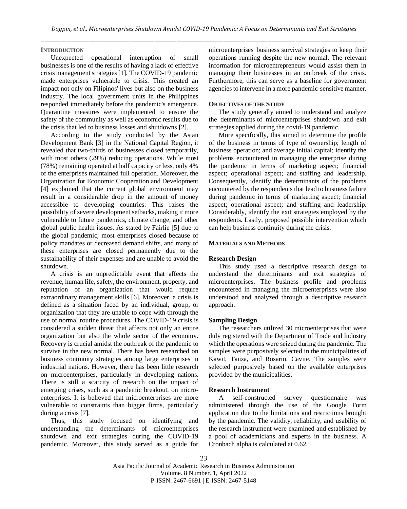## **INTRODUCTION**

Unexpected operational interruption of small businesses is one of the results of having a lack of effective crisis management strategies [1]. The COVID-19 pandemic made enterprises vulnerable to crisis. This created an impact not only on Filipinos' lives but also on the business industry. The local government units in the Philippines responded immediately before the pandemic's emergence. Quarantine measures were implemented to ensure the safety of the community as well as economic results due to the crisis that led to business losses and shutdowns [2].

According to the study conducted by the Asian Development Bank [3] in the National Capital Region, it revealed that two-thirds of businesses closed temporarily, with most others (29%) reducing operations. While most (78%) remaining operated at half capacity or less, only 4% of the enterprises maintained full operation. Moreover, the Organization for Economic Cooperation and Development [4] explained that the current global environment may result in a considerable drop in the amount of money accessible to developing countries. This raises the possibility of severe development setbacks, making it more vulnerable to future pandemics, climate change, and other global public health issues. As stated by Fairlie [5] due to the global pandemic, most enterprises closed because of policy mandates or decreased demand shifts, and many of these enterprises are closed permanently due to the sustainability of their expenses and are unable to avoid the shutdown.

A crisis is an unpredictable event that affects the revenue, human life, safety, the environment, property, and reputation of an organization that would require extraordinary management skills [6]. Moreover, a crisis is defined as a situation faced by an individual, group, or organization that they are unable to cope with through the use of normal routine procedures. The COVID-19 crisis is considered a sudden threat that affects not only an entire organization but also the whole sector of the economy. Recovery is crucial amidst the outbreak of the pandemic to survive in the new normal. There has been researched on business continuity strategies among large enterprises in industrial nations. However, there has been little research on microenterprises, particularly in developing nations. There is still a scarcity of research on the impact of emerging crises, such as a pandemic breakout, on microenterprises. It is believed that microenterprises are more vulnerable to constraints than bigger firms, particularly during a crisis [7].

Thus, this study focused on identifying and understanding the determinants of microenterprises shutdown and exit strategies during the COVID-19 pandemic. Moreover, this study served as a guide for microenterprises' business survival strategies to keep their operations running despite the new normal. The relevant information for microentrepreneurs would assist them in managing their businesses in an outbreak of the crisis. Furthermore, this can serve as a baseline for government agencies to intervene in a more pandemic-sensitive manner.

### **OBJECTIVES OF THE STUDY**

The study generally aimed to understand and analyze the determinants of microenterprises shutdown and exit strategies applied during the covid-19 pandemic.

More specifically, this aimed to determine the profile of the business in terms of type of ownership; length of business operation; and average initial capital; identify the problems encountered in managing the enterprise during the pandemic in terms of marketing aspect; financial aspect; operational aspect; and staffing and leadership. Consequently, identify the determinants of the problems encountered by the respondents that lead to business failure during pandemic in terms of marketing aspect; financial aspect; operational aspect; and staffing and leadership. Considerably, identify the exit strategies employed by the respondents. Lastly, proposed possible intervention which can help business continuity during the crisis.

## **MATERIALS AND METHODS**

#### **Research Design**

This study used a descriptive research design to understand the determinants and exit strategies of microenterprises. The business profile and problems encountered in managing the microenterprises were also understood and analyzed through a descriptive research approach.

#### **Sampling Design**

The researchers utilized 30 microenterprises that were duly registered with the Department of Trade and Industry which the operations were seized during the pandemic. The samples were purposively selected in the municipalities of Kawit, Tanza, and Rosario, Cavite. The samples were selected purposively based on the available enterprises provided by the municipalities.

#### **Research Instrument**

A self-constructed survey questionnaire was administered through the use of the Google Form application due to the limitations and restrictions brought by the pandemic. The validity, reliability, and usability of the research instrument were examined and established by a pool of academicians and experts in the business. A Cronbach alpha is calculated at 0.62.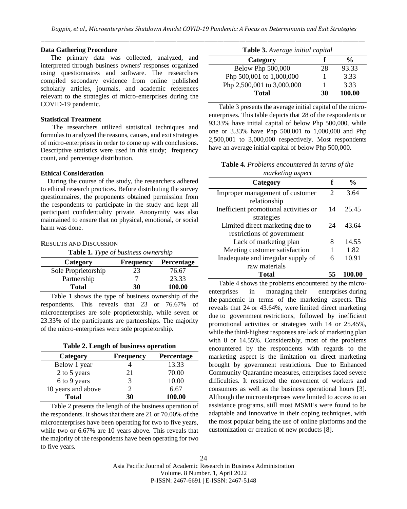$\equiv$ 

 $\mathbb{R}$ 

## **Data Gathering Procedure**

The primary data was collected, analyzed, and interpreted through business owners' responses organized using questionnaires and software. The researchers compiled secondary evidence from online published scholarly articles, journals, and academic references relevant to the strategies of micro-enterprises during the COVID-19 pandemic.

## **Statistical Treatment**

The researchers utilized statistical techniques and formulas to analyzed the reasons, causes, and exit strategies of micro-enterprises in order to come up with conclusions. Descriptive statistics were used in this study; frequency count, and percentage distribution.

## **Ethical Consideration**

During the course of the study, the researchers adhered to ethical research practices. Before distributing the survey questionnaires, the proponents obtained permission from the respondents to participate in the study and kept all participant confidentiality private. Anonymity was also maintained to ensure that no physical, emotional, or social harm was done.

|  |  | <b>RESULTS AND DISCUSSION</b> |
|--|--|-------------------------------|
|--|--|-------------------------------|

**Table 1.** *Type of business ownership*

| Category            | <b>Frequency</b> | Percentage |
|---------------------|------------------|------------|
| Sole Proprietorship | 23               | 76.67      |
| Partnership         |                  | 23.33      |
| <b>Total</b>        | 30               | 100.00     |

Table 1 shows the type of business ownership of the respondents. This reveals that 23 or 76.67% of microenterprises are sole proprietorship, while seven or 23.33% of the participants are partnerships. The majority of the micro-enterprises were sole proprietorship.

| Table 2. Length of business operation |  |
|---------------------------------------|--|
|---------------------------------------|--|

| Category           | <b>Frequency</b> | <b>Percentage</b> |
|--------------------|------------------|-------------------|
| Below 1 year       |                  | 13.33             |
| 2 to 5 years       | 21               | 70.00             |
| 6 to 9 years       | 3                | 10.00             |
| 10 years and above | っ                | 6.67              |
| <b>Total</b>       | 30               | 100.00            |

Table 2 presents the length of the business operation of the respondents. It shows that there are 21 or 70.00% of the microenterprises have been operating for two to five years, while two or 6.67% are 10 years above. This reveals that the majority of the respondents have been operating for two to five years.

| Table 3. Average initial capital |  |
|----------------------------------|--|
|----------------------------------|--|

| Category                   |    | $\frac{0}{0}$ |
|----------------------------|----|---------------|
| Below Php 500,000          | 28 | 93.33         |
| Php 500,001 to 1,000,000   |    | 3.33          |
| Php 2,500,001 to 3,000,000 |    | 3.33          |
| Total                      | 30 | 100.00        |

Table 3 presents the average initial capital of the microenterprises. This table depicts that 28 of the respondents or 93.33% have initial capital of below Php 500,000, while one or 3.33% have Php 500,001 to 1,000,000 and Php 2,500,001 to 3,000,000 respectively. Most respondents have an average initial capital of below Php 500,000.

**Table 4.** *Problems encountered in terms of the marketing aspect*

| Category                              | f              | $\frac{0}{0}$ |
|---------------------------------------|----------------|---------------|
| Improper management of customer       | $\mathfrak{D}$ | 3.64          |
| relationship                          |                |               |
| Inefficient promotional activities or | 14             | 25.45         |
| strategies                            |                |               |
| Limited direct marketing due to       | 24             | 43.64         |
| restrictions of government            |                |               |
| Lack of marketing plan                | 8              | 14.55         |
| Meeting customer satisfaction         |                | 1.82          |
| Inadequate and irregular supply of    | 6              | 10.91         |
| raw materials                         |                |               |
| Total                                 |                |               |

Table 4 shows the problems encountered by the microenterprises in managing their enterprises during the pandemic in terms of the marketing aspects. This reveals that 24 or 43.64%, were limited direct marketing due to government restrictions, followed by inefficient promotional activities or strategies with 14 or 25.45%, while the third-highest responses are lack of marketing plan with 8 or 14.55%. Considerably, most of the problems encountered by the respondents with regards to the marketing aspect is the limitation on direct marketing brought by government restrictions. Due to Enhanced Community Quarantine measures, enterprises faced severe difficulties. It restricted the movement of workers and consumers as well as the business operational hours [3]. Although the microenterprises were limited to access to an assistance programs, still most MSMEs were found to be adaptable and innovative in their coping techniques, with the most popular being the use of online platforms and the customization or creation of new products [8].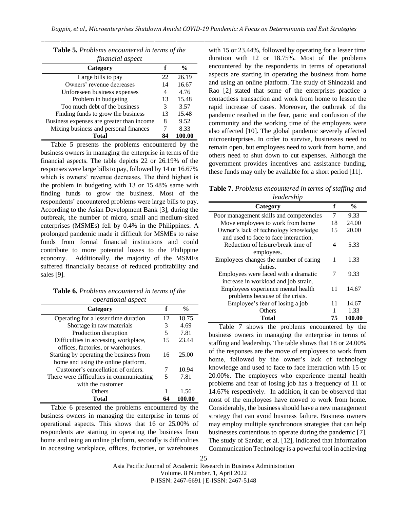| financial aspect                          |    |               |  |  |
|-------------------------------------------|----|---------------|--|--|
| Category                                  | f  | $\frac{0}{0}$ |  |  |
| Large bills to pay                        | 22 | 26.19         |  |  |
| Owners' revenue decreases                 | 14 | 16.67         |  |  |
| Unforeseen business expenses              | 4  | 4.76          |  |  |
| Problem in budgeting                      | 13 | 15.48         |  |  |
| Too much debt of the business             | 3  | 3.57          |  |  |
| Finding funds to grow the business        | 13 | 15.48         |  |  |
| Business expenses are greater than income | 8  | 9.52          |  |  |
| Mixing business and personal finances     |    | 8.33          |  |  |
| Total                                     | 84 | 100.00        |  |  |

**Table 5.** *Problems encountered in terms of the* 

Table 5 presents the problems encountered by the business owners in managing the enterprise in terms of the financial aspects. The table depicts 22 or 26.19% of the responses were large bills to pay, followed by 14 or 16.67% which is owners' revenue decreases. The third highest is the problem in budgeting with 13 or 15.48% same with finding funds to grow the business. Most of the respondents' encountered problems were large bills to pay. According to the Asian Development Bank [3], during the outbreak, the number of micro, small and medium-sized enterprises (MSMEs) fell by 0.4% in the Philippines. A prolonged pandemic made it difficult for MSMEs to raise funds from formal financial institutions and could contribute to more potential losses to the Philippine economy. Additionally, the majority of the MSMEs suffered financially because of reduced profitability and sales [9].

|  | Table 6. Problems encountered in terms of the |  |
|--|-----------------------------------------------|--|
|  | operational aspect                            |  |

| operanonal aspect<br>Category            | f  | $\frac{0}{0}$ |
|------------------------------------------|----|---------------|
| Operating for a lesser time duration     | 12 | 18.75         |
| Shortage in raw materials                | 3  | 4.69          |
| Production disruption                    | 5  | 7.81          |
| Difficulties in accessing workplace,     | 15 | 23.44         |
| offices, factories, or warehouses.       |    |               |
| Starting by operating the business from  | 16 | 25.00         |
| home and using the online platform.      |    |               |
| Customer's cancellation of orders.       | 7  | 10.94         |
| There were difficulties in communicating | 5  | 7.81          |
| with the customer                        |    |               |
| Others                                   | 1  | 1.56          |
| Total                                    | 64 | 100.00        |

Table 6 presented the problems encountered by the business owners in managing the enterprise in terms of operational aspects. This shows that 16 or 25.00% of respondents are starting in operating the business from home and using an online platform, secondly is difficulties in accessing workplace, offices, factories, or warehouses

with 15 or 23.44%, followed by operating for a lesser time duration with 12 or 18.75%. Most of the problems encountered by the respondents in terms of operational aspects are starting in operating the business from home and using an online platform. The study of Shinozaki and Rao [2] stated that some of the enterprises practice a contactless transaction and work from home to lessen the rapid increase of cases. Moreover, the outbreak of the pandemic resulted in the fear, panic and confusion of the community and the working time of the employees were also affected [10]. The global pandemic severely affected microenterprises. In order to survive, businesses need to remain open, but employees need to work from home, and others need to shut down to cut expenses. Although the government provides incentives and assistance funding, these funds may only be available for a short period [11].

**Table 7.** *Problems encountered in terms of staffing and leadership*

| Category                                | f  | $\frac{0}{0}$ |
|-----------------------------------------|----|---------------|
| Poor management skills and competencies | 7  | 9.33          |
| Move employees to work from home        | 18 | 24.00         |
| Owner's lack of technology knowledge    | 15 | 20.00         |
| and used to face to face interaction.   |    |               |
| Reduction of leisure/break time of      | 4  | 5.33          |
| employees.                              |    |               |
| Employees changes the number of caring  | 1  | 1.33          |
| duties.                                 |    |               |
| Employees were faced with a dramatic    | 7  | 9.33          |
| increase in workload and job strain.    |    |               |
| Employees experience mental health      | 11 | 14.67         |
| problems because of the crisis.         |    |               |
| Employee's fear of losing a job         | 11 | 14.67         |
| Others                                  | 1  | 1.33          |
| Total                                   | 75 | 100.00        |

Table 7 shows the problems encountered by the business owners in managing the enterprise in terms of staffing and leadership. The table shows that 18 or 24.00% of the responses are the move of employees to work from home, followed by the owner's lack of technology knowledge and used to face to face interaction with 15 or 20.00%. The employees who experience mental health problems and fear of losing job has a frequency of 11 or 14.67% respectively. In addition, it can be observed that most of the employees have moved to work from home. Considerably, the business should have a new management strategy that can avoid business failure. Business owners may employ multiple synchronous strategies that can help businesses contentious to operate during the pandemic [7]. The study of Sardar, et al. [12], indicated that Information Communication Technology is a powerful tool in achieving

Asia Pacific Journal of Academic Research in Business Administration Volume. 8 Number. 1, April 2022 P-ISSN: 2467-6691 | E-ISSN: 2467-5148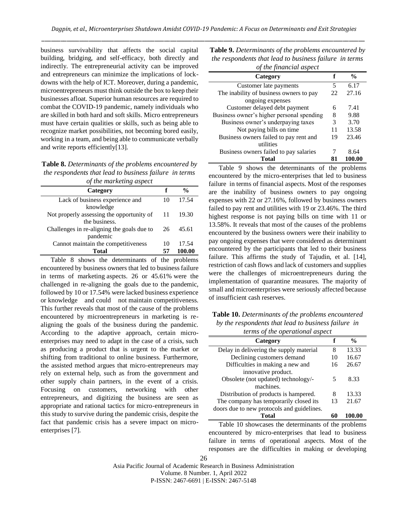business survivability that affects the social capital building, bridging, and self-efficacy, both directly and indirectly. The entrepreneurial activity can be improved and entrepreneurs can minimize the implications of lockdowns with the help of ICT. Moreover, during a pandemic, microentrepreneurs must think outside the box to keep their businesses afloat. Superior human resources are required to combat the COVID-19 pandemic, namely individuals who are skilled in both hard and soft skills. Micro entrepreneurs must have certain qualities or skills, such as being able to recognize market possibilities, not becoming bored easily, working in a team, and being able to communicate verbally and write reports efficiently[13].

**Table 8.** *Determinants of the problems encountered by the respondents that lead to business failure in terms of the marketing aspect*

| Category                                                   | f   | $\frac{6}{9}$ |
|------------------------------------------------------------|-----|---------------|
| Lack of business experience and<br>knowledge               | 10  | 17.54         |
| Not properly assessing the opportunity of<br>the business. | -11 | 19.30         |
| Challenges in re-aligning the goals due to<br>pandemic     | 26  | 45.61         |
| Cannot maintain the competitiveness                        | 10  | 17.54         |
| Total                                                      | 57  | 100.00        |

Table 8 shows the determinants of the problems encountered by business owners that led to business failure in terms of marketing aspects. 26 or 45.61% were the challenged in re-aligning the goals due to the pandemic, followed by 10 or 17.54% were lacked business experience or knowledge and could not maintain competitiveness. This further reveals that most of the cause of the problems encountered by microentrepreneurs in marketing is realigning the goals of the business during the pandemic. According to the adaptive approach, certain microenterprises may need to adapt in the case of a crisis, such as producing a product that is urgent to the market or shifting from traditional to online business. Furthermore, the assisted method argues that micro-entrepreneurs may rely on external help, such as from the government and other supply chain partners, in the event of a crisis. Focusing on customers, networking with other entrepreneurs, and digitizing the business are seen as appropriate and rational tactics for micro-entrepreneurs in this study to survive during the pandemic crisis, despite the fact that pandemic crisis has a severe impact on microenterprises [7].

**Table 9.** *Determinants of the problems encountered by the respondents that lead to business failure in terms of the financial aspect*

| Category                                  | f  | $\frac{0}{0}$ |
|-------------------------------------------|----|---------------|
| Customer late payments                    | 5  | 6.17          |
| The inability of business owners to pay   | 22 | 27.16         |
| ongoing expenses                          |    |               |
| Customer delayed debt payment             | 6  | 7.41          |
| Business owner's higher personal spending | 8  | 9.88          |
| Business owner's underpaying taxes        | 3  | 3.70          |
| Not paying bills on time.                 | 11 | 13.58         |
| Business owners failed to pay rent and    | 19 | 23.46         |
| utilities                                 |    |               |
| Business owners failed to pay salaries    |    | 8.64          |
| Total                                     |    | 100.00        |

Table 9 shows the determinants of the problems encountered by the micro-enterprises that led to business failure in terms of financial aspects. Most of the responses are the inability of business owners to pay ongoing expenses with 22 or 27.16%, followed by business owners failed to pay rent and utilities with 19 or 23.46%. The third highest response is not paying bills on time with 11 or 13.58%. It reveals that most of the causes of the problems encountered by the business owners were their inability to pay ongoing expenses that were considered as determinant encountered by the participants that led to their business failure. This affirms the study of Tajudin, et al. [14], restriction of cash flows and lack of customers and supplies were the challenges of microentrepreneurs during the implementation of quarantine measures. The majority of small and microenterprises were seriously affected because of insufficient cash reserves.

**Table 10.** *Determinants of the problems encountered by the respondents that lead to business failure in terms of the operational aspect*

| Category                                   | f  | $\frac{0}{0}$ |
|--------------------------------------------|----|---------------|
| Delay in delivering the supply material    | 8  | 13.33         |
| Declining customers demand                 | 10 | 16.67         |
| Difficulties in making a new and           | 16 | 26.67         |
| innovative product.                        |    |               |
| Obsolete (not updated) technology/-        | 5  | 8.33          |
| machines.                                  |    |               |
| Distribution of products is hampered.      | 8  | 13.33         |
| The company has temporarily closed its     | 13 | 21.67         |
| doors due to new protocols and guidelines. |    |               |
| <b>Total</b>                               |    | 100.00        |

Table 10 showcases the determinants of the problems encountered by micro-enterprises that lead to business failure in terms of operational aspects. Most of the responses are the difficulties in making or developing

Asia Pacific Journal of Academic Research in Business Administration Volume. 8 Number. 1, April 2022 P-ISSN: 2467-6691 | E-ISSN: 2467-5148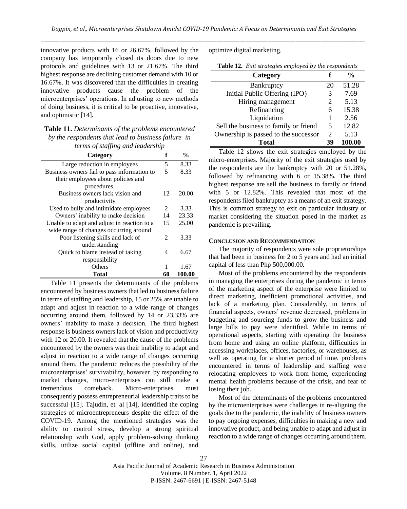innovative products with 16 or 26.67%, followed by the company has temporarily closed its doors due to new protocols and guidelines with 13 or 21.67%. The third highest response are declining customer demand with 10 or 16.67%. It was discovered that the difficulties in creating innovative products cause the problem of the microenterprises' operations. In adjusting to new methods of doing business, it is critical to be proactive, innovative, and optimistic [14].

**Table 11.** *Determinants of the problems encountered by the respondents that lead to business failure in terms of staffing and leadership*

| terms of staffing ana leaaersnip<br>Category | f              | $\frac{0}{0}$ |
|----------------------------------------------|----------------|---------------|
|                                              |                |               |
| Large reduction in employees                 | 5              | 8.33          |
| Business owners fail to pass information to  | 5              | 8.33          |
| their employees about policies and           |                |               |
| procedures.                                  |                |               |
| Business owners lack vision and              | 12.            | 20.00         |
| productivity                                 |                |               |
| Used to bully and intimidate employees       | $\mathfrak{D}$ | 3.33          |
| Owners' inability to make decision           | 14             | 23.33         |
| Unable to adapt and adjust in reaction to a  | 15             | 25.00         |
| wide range of changes occurring around       |                |               |
| Poor listening skills and lack of            | 2              | 3.33          |
| understanding                                |                |               |
| Quick to blame instead of taking             | 4              | 6.67          |
| responsibility                               |                |               |
| Others                                       | 1              | 1.67          |
| Total                                        | 60             | 100.00        |

Table 11 presents the determinants of the problems encountered by business owners that led to business failure in terms of staffing and leadership, 15 or 25% are unable to adapt and adjust in reaction to a wide range of changes occurring around them, followed by 14 or 23.33% are owners' inability to make a decision. The third highest response is business owners lack of vision and productivity with 12 or 20.00. It revealed that the cause of the problems encountered by the owners was their inability to adapt and adjust in reaction to a wide range of changes occurring around them. The pandemic reduces the possibility of the microenterprises' survivability, however by responding to market changes, micro-enterprises can still make a tremendous comeback. Micro-enterprises must consequently possess entrepreneurial leadership traits to be successful [15]. Tajudin, et. al [14], identified the coping strategies of microentrepreneurs despite the effect of the COVID-19. Among the mentioned strategies was the ability to control stress, develop a strong spiritual relationship with God, apply problem-solving thinking skills, utilize social capital (offline and online), and optimize digital marketing.

| Category                      |    | $\frac{0}{0}$ |
|-------------------------------|----|---------------|
| <b>Bankruptcy</b>             | 20 | 51.28         |
| Initial Public Offering (IPO) | 3  | 7.69          |
| Hiring management             |    | 5.13          |
| Refinancing                   | 6  | 15.38         |
| Liquidation                   |    | 2.56          |

Sell the business to family or friend  $5 \quad 12.82$ Ownership is passed to the successor 2 5.13

**Table 12.** *Exit strategies employed by the respondents*

**Total 39 100.00** Table 12 shows the exit strategies employed by the micro-enterprises. Majority of the exit strategies used by the respondents are the bankruptcy with 20 or 51.28%, followed by refinancing with 6 or 15.38%. The third highest response are sell the business to family or friend with 5 or 12.82%. This revealed that most of the respondents filed bankruptcy as a means of an exit strategy. This is common strategy to exit on particular industry or market considering the situation posed in the market as pandemic is prevailing.

## **CONCLUSION AND RECOMMENDATION**

The majority of respondents were sole proprietorships that had been in business for 2 to 5 years and had an initial capital of less than Php 500,000.00.

Most of the problems encountered by the respondents in managing the enterprises during the pandemic in terms of the marketing aspect of the enterprise were limited to direct marketing, inefficient promotional activities, and lack of a marketing plan. Considerably, in terms of financial aspects, owners' revenue decreased, problems in budgeting and sourcing funds to grow the business and large bills to pay were identified. While in terms of operational aspects, starting with operating the business from home and using an online platform, difficulties in accessing workplaces, offices, factories, or warehouses, as well as operating for a shorter period of time. problems encountered in terms of leadership and staffing were relocating employees to work from home, experiencing mental health problems because of the crisis, and fear of losing their job.

Most of the determinants of the problems encountered by the microenterprises were challenges in re-aligning the goals due to the pandemic, the inability of business owners to pay ongoing expenses, difficulties in making a new and innovative product, and being unable to adapt and adjust in reaction to a wide range of changes occurring around them.